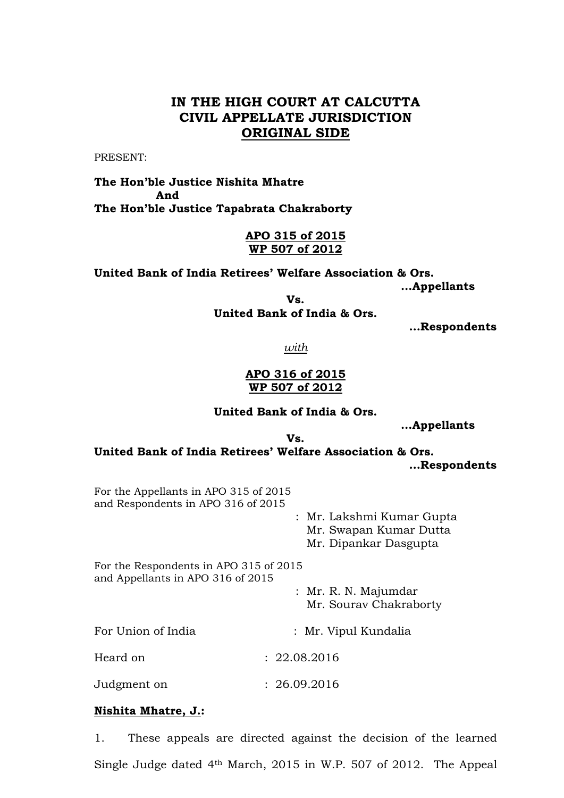# **IN THE HIGH COURT AT CALCUTTA CIVIL APPELLATE JURISDICTION ORIGINAL SIDE**

PRESENT:

**The Hon'ble Justice Nishita Mhatre And The Hon'ble Justice Tapabrata Chakraborty**

> **APO 315 of 2015 WP 507 of 2012**

**United Bank of India Retirees' Welfare Association & Ors. …Appellants**

**Vs. United Bank of India & Ors.**

 **…Respondents**

*with*

## **APO 316 of 2015 WP 507 of 2012**

#### **United Bank of India & Ors.**

**…Appellants**

**Vs.**

**United Bank of India Retirees' Welfare Association & Ors. …Respondents**

For the Appellants in APO 315 of 2015 and Respondents in APO 316 of 2015

> : Mr. Lakshmi Kumar Gupta Mr. Swapan Kumar Dutta Mr. Dipankar Dasgupta

For the Respondents in APO 315 of 2015 and Appellants in APO 316 of 2015

> : Mr. R. N. Majumdar Mr. Sourav Chakraborty

For Union of India : Mr. Vipul Kundalia

Heard on : 22.08.2016

Judgment on : 26.09.2016

## **Nishita Mhatre, J.:**

1. These appeals are directed against the decision of the learned Single Judge dated 4th March, 2015 in W.P. 507 of 2012. The Appeal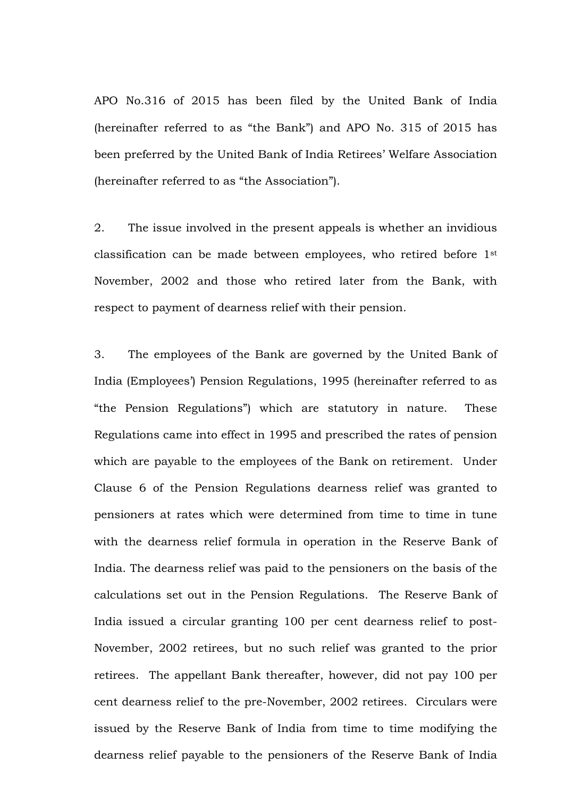APO No.316 of 2015 has been filed by the United Bank of India (hereinafter referred to as "the Bank") and APO No. 315 of 2015 has been preferred by the United Bank of India Retirees' Welfare Association (hereinafter referred to as "the Association").

2. The issue involved in the present appeals is whether an invidious classification can be made between employees, who retired before 1st November, 2002 and those who retired later from the Bank, with respect to payment of dearness relief with their pension.

3. The employees of the Bank are governed by the United Bank of India (Employees') Pension Regulations, 1995 (hereinafter referred to as "the Pension Regulations") which are statutory in nature. These Regulations came into effect in 1995 and prescribed the rates of pension which are payable to the employees of the Bank on retirement. Under Clause 6 of the Pension Regulations dearness relief was granted to pensioners at rates which were determined from time to time in tune with the dearness relief formula in operation in the Reserve Bank of India. The dearness relief was paid to the pensioners on the basis of the calculations set out in the Pension Regulations. The Reserve Bank of India issued a circular granting 100 per cent dearness relief to post-November, 2002 retirees, but no such relief was granted to the prior retirees. The appellant Bank thereafter, however, did not pay 100 per cent dearness relief to the pre-November, 2002 retirees. Circulars were issued by the Reserve Bank of India from time to time modifying the dearness relief payable to the pensioners of the Reserve Bank of India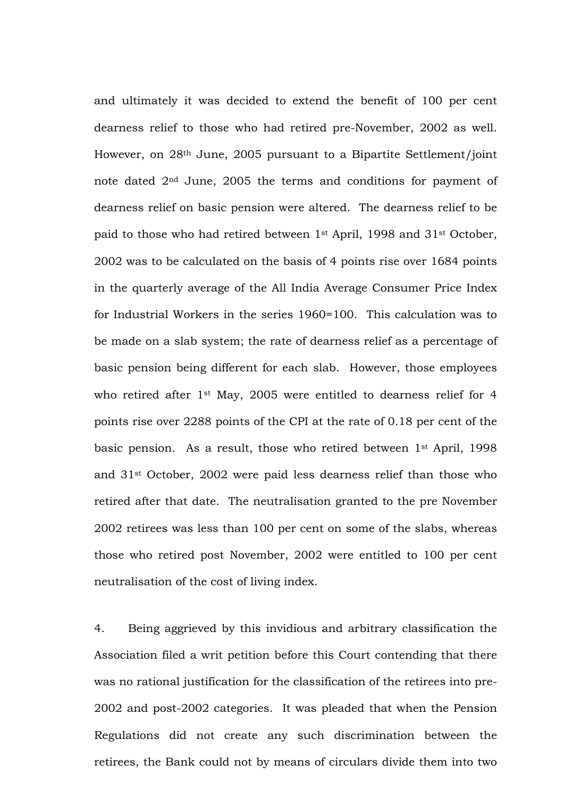and ultimately it was decided to extend the benefit of 100 per cent dearness relief to those who had retired pre-November, 2002 as well. However, on 28th June, 2005 pursuant to a Bipartite Settlement/joint note dated 2nd June, 2005 the terms and conditions for payment of dearness relief on basic pension were altered. The dearness relief to be paid to those who had retired between 1st April, 1998 and 31st October, 2002 was to be calculated on the basis of 4 points rise over 1684 points in the quarterly average of the All India Average Consumer Price Index for Industrial Workers in the series 1960=100. This calculation was to be made on a slab system; the rate of dearness relief as a percentage of basic pension being different for each slab. However, those employees who retired after 1st May, 2005 were entitled to dearness relief for 4 points rise over 2288 points of the CPI at the rate of 0.18 per cent of the basic pension. As a result, those who retired between 1st April, 1998 and 31st October, 2002 were paid less dearness relief than those who retired after that date. The neutralisation granted to the pre November 2002 retirees was less than 100 per cent on some of the slabs, whereas those who retired post November, 2002 were entitled to 100 per cent neutralisation of the cost of living index.

4. Being aggrieved by this invidious and arbitrary classification the Association filed a writ petition before this Court contending that there was no rational justification for the classification of the retirees into pre-2002 and post-2002 categories. It was pleaded that when the Pension Regulations did not create any such discrimination between the retirees, the Bank could not by means of circulars divide them into two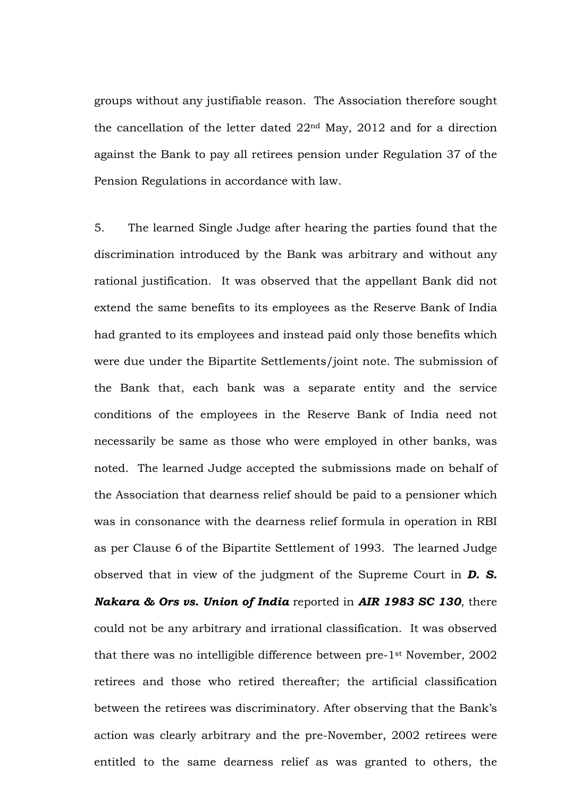groups without any justifiable reason. The Association therefore sought the cancellation of the letter dated 22nd May, 2012 and for a direction against the Bank to pay all retirees pension under Regulation 37 of the Pension Regulations in accordance with law.

5. The learned Single Judge after hearing the parties found that the discrimination introduced by the Bank was arbitrary and without any rational justification. It was observed that the appellant Bank did not extend the same benefits to its employees as the Reserve Bank of India had granted to its employees and instead paid only those benefits which were due under the Bipartite Settlements/joint note. The submission of the Bank that, each bank was a separate entity and the service conditions of the employees in the Reserve Bank of India need not necessarily be same as those who were employed in other banks, was noted. The learned Judge accepted the submissions made on behalf of the Association that dearness relief should be paid to a pensioner which was in consonance with the dearness relief formula in operation in RBI as per Clause 6 of the Bipartite Settlement of 1993. The learned Judge observed that in view of the judgment of the Supreme Court in *D. S. Nakara & Ors vs. Union of India* reported in *AIR 1983 SC 130*, there could not be any arbitrary and irrational classification. It was observed that there was no intelligible difference between pre-1st November, 2002 retirees and those who retired thereafter; the artificial classification between the retirees was discriminatory. After observing that the Bank's action was clearly arbitrary and the pre-November, 2002 retirees were entitled to the same dearness relief as was granted to others, the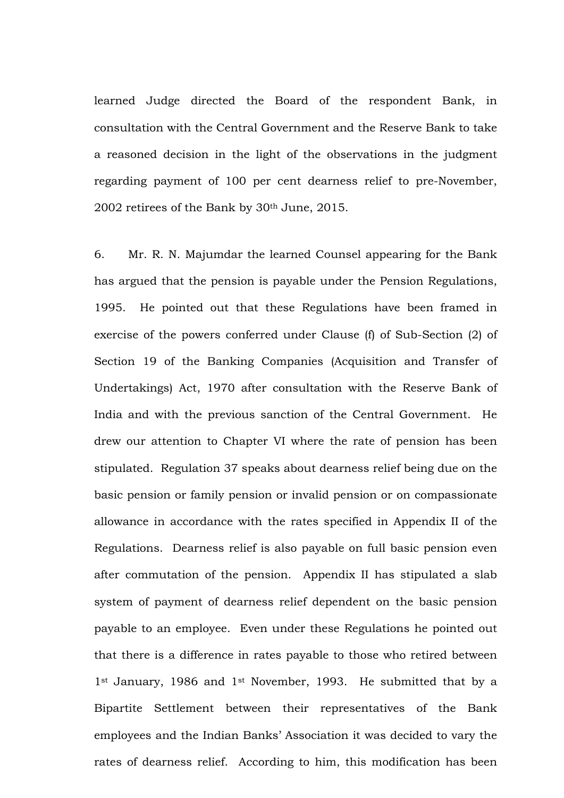learned Judge directed the Board of the respondent Bank, in consultation with the Central Government and the Reserve Bank to take a reasoned decision in the light of the observations in the judgment regarding payment of 100 per cent dearness relief to pre-November, 2002 retirees of the Bank by 30<sup>th</sup> June, 2015.

6. Mr. R. N. Majumdar the learned Counsel appearing for the Bank has argued that the pension is payable under the Pension Regulations, 1995. He pointed out that these Regulations have been framed in exercise of the powers conferred under Clause (f) of Sub-Section (2) of Section 19 of the Banking Companies (Acquisition and Transfer of Undertakings) Act, 1970 after consultation with the Reserve Bank of India and with the previous sanction of the Central Government. He drew our attention to Chapter VI where the rate of pension has been stipulated. Regulation 37 speaks about dearness relief being due on the basic pension or family pension or invalid pension or on compassionate allowance in accordance with the rates specified in Appendix II of the Regulations. Dearness relief is also payable on full basic pension even after commutation of the pension. Appendix II has stipulated a slab system of payment of dearness relief dependent on the basic pension payable to an employee. Even under these Regulations he pointed out that there is a difference in rates payable to those who retired between 1<sup>st</sup> January, 1986 and 1<sup>st</sup> November, 1993. He submitted that by a Bipartite Settlement between their representatives of the Bank employees and the Indian Banks' Association it was decided to vary the rates of dearness relief. According to him, this modification has been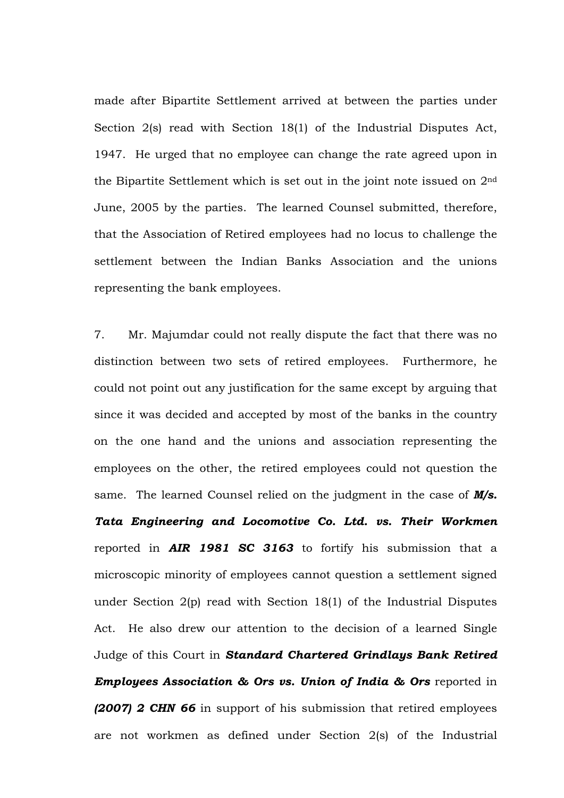made after Bipartite Settlement arrived at between the parties under Section 2(s) read with Section 18(1) of the Industrial Disputes Act, 1947. He urged that no employee can change the rate agreed upon in the Bipartite Settlement which is set out in the joint note issued on 2nd June, 2005 by the parties. The learned Counsel submitted, therefore, that the Association of Retired employees had no locus to challenge the settlement between the Indian Banks Association and the unions representing the bank employees.

7. Mr. Majumdar could not really dispute the fact that there was no distinction between two sets of retired employees. Furthermore, he could not point out any justification for the same except by arguing that since it was decided and accepted by most of the banks in the country on the one hand and the unions and association representing the employees on the other, the retired employees could not question the same. The learned Counsel relied on the judgment in the case of *M/s. Tata Engineering and Locomotive Co. Ltd. vs. Their Workmen* reported in *AIR 1981 SC 3163* to fortify his submission that a microscopic minority of employees cannot question a settlement signed under Section 2(p) read with Section 18(1) of the Industrial Disputes Act. He also drew our attention to the decision of a learned Single Judge of this Court in *Standard Chartered Grindlays Bank Retired Employees Association & Ors vs. Union of India & Ors reported in (2007) 2 CHN 66* in support of his submission that retired employees are not workmen as defined under Section 2(s) of the Industrial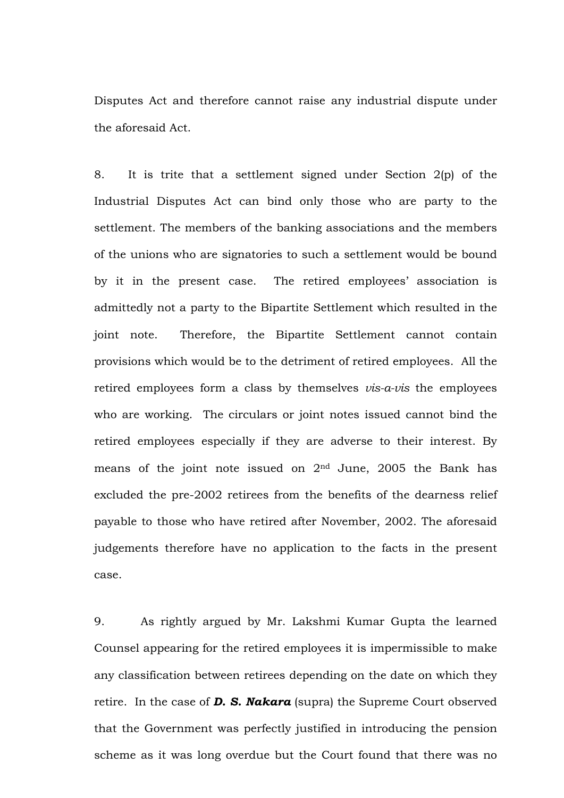Disputes Act and therefore cannot raise any industrial dispute under the aforesaid Act.

8. It is trite that a settlement signed under Section 2(p) of the Industrial Disputes Act can bind only those who are party to the settlement. The members of the banking associations and the members of the unions who are signatories to such a settlement would be bound by it in the present case. The retired employees' association is admittedly not a party to the Bipartite Settlement which resulted in the joint note. Therefore, the Bipartite Settlement cannot contain provisions which would be to the detriment of retired employees. All the retired employees form a class by themselves *vis-a-vis* the employees who are working. The circulars or joint notes issued cannot bind the retired employees especially if they are adverse to their interest. By means of the joint note issued on 2nd June, 2005 the Bank has excluded the pre-2002 retirees from the benefits of the dearness relief payable to those who have retired after November, 2002. The aforesaid judgements therefore have no application to the facts in the present case.

9. As rightly argued by Mr. Lakshmi Kumar Gupta the learned Counsel appearing for the retired employees it is impermissible to make any classification between retirees depending on the date on which they retire. In the case of *D. S. Nakara* (supra) the Supreme Court observed that the Government was perfectly justified in introducing the pension scheme as it was long overdue but the Court found that there was no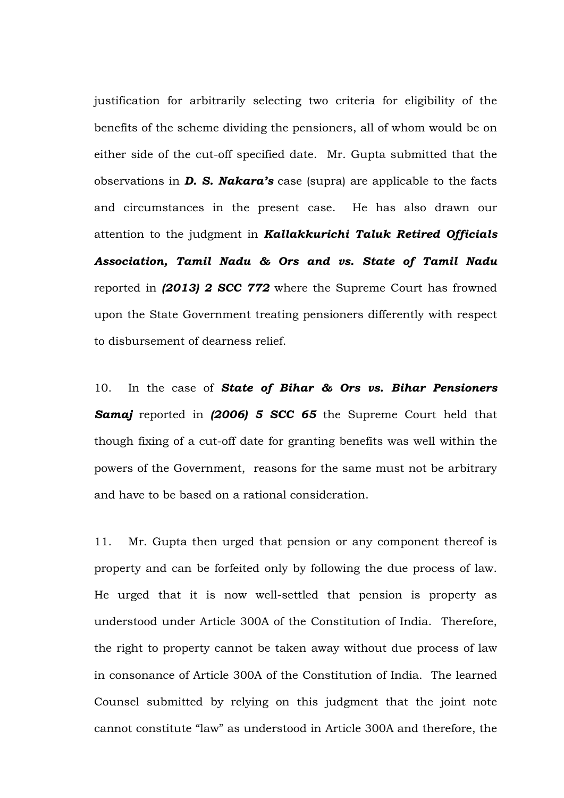justification for arbitrarily selecting two criteria for eligibility of the benefits of the scheme dividing the pensioners, all of whom would be on either side of the cut-off specified date. Mr. Gupta submitted that the observations in *D. S. Nakara's* case (supra) are applicable to the facts and circumstances in the present case. He has also drawn our attention to the judgment in *Kallakkurichi Taluk Retired Officials Association, Tamil Nadu & Ors and vs. State of Tamil Nadu* reported in *(2013) 2 SCC 772* where the Supreme Court has frowned upon the State Government treating pensioners differently with respect to disbursement of dearness relief.

10. In the case of *State of Bihar & Ors vs. Bihar Pensioners Samaj* reported in *(2006) 5 SCC 65* the Supreme Court held that though fixing of a cut-off date for granting benefits was well within the powers of the Government, reasons for the same must not be arbitrary and have to be based on a rational consideration.

11. Mr. Gupta then urged that pension or any component thereof is property and can be forfeited only by following the due process of law. He urged that it is now well-settled that pension is property as understood under Article 300A of the Constitution of India. Therefore, the right to property cannot be taken away without due process of law in consonance of Article 300A of the Constitution of India. The learned Counsel submitted by relying on this judgment that the joint note cannot constitute "law" as understood in Article 300A and therefore, the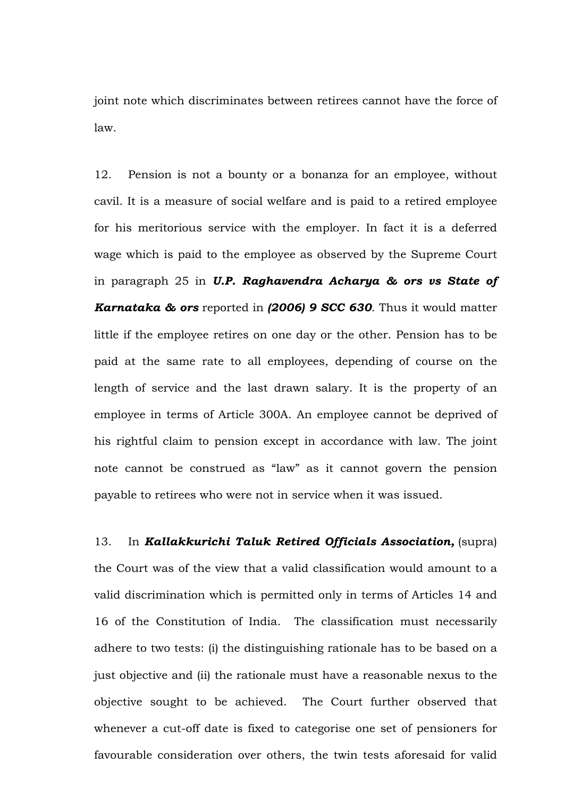joint note which discriminates between retirees cannot have the force of law.

12. Pension is not a bounty or a bonanza for an employee, without cavil. It is a measure of social welfare and is paid to a retired employee for his meritorious service with the employer. In fact it is a deferred wage which is paid to the employee as observed by the Supreme Court in paragraph 25 in *U.P. Raghavendra Acharya & ors vs State of Karnataka & ors* reported in *(2006) 9 SCC 630*. Thus it would matter little if the employee retires on one day or the other. Pension has to be paid at the same rate to all employees, depending of course on the length of service and the last drawn salary. It is the property of an employee in terms of Article 300A. An employee cannot be deprived of his rightful claim to pension except in accordance with law. The joint note cannot be construed as "law" as it cannot govern the pension payable to retirees who were not in service when it was issued.

13. In *Kallakkurichi Taluk Retired Officials Association,* (supra) the Court was of the view that a valid classification would amount to a valid discrimination which is permitted only in terms of Articles 14 and 16 of the Constitution of India. The classification must necessarily adhere to two tests: (i) the distinguishing rationale has to be based on a just objective and (ii) the rationale must have a reasonable nexus to the objective sought to be achieved. The Court further observed that whenever a cut-off date is fixed to categorise one set of pensioners for favourable consideration over others, the twin tests aforesaid for valid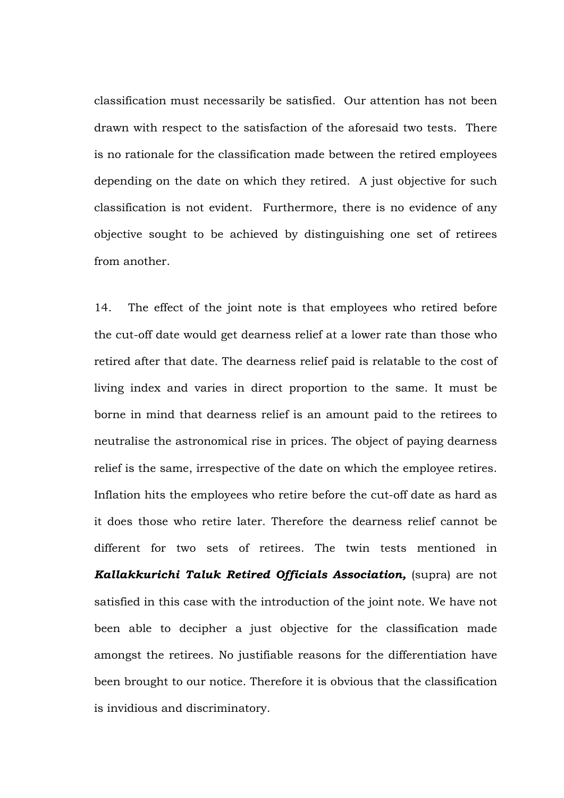classification must necessarily be satisfied. Our attention has not been drawn with respect to the satisfaction of the aforesaid two tests. There is no rationale for the classification made between the retired employees depending on the date on which they retired. A just objective for such classification is not evident. Furthermore, there is no evidence of any objective sought to be achieved by distinguishing one set of retirees from another.

14. The effect of the joint note is that employees who retired before the cut-off date would get dearness relief at a lower rate than those who retired after that date. The dearness relief paid is relatable to the cost of living index and varies in direct proportion to the same. It must be borne in mind that dearness relief is an amount paid to the retirees to neutralise the astronomical rise in prices. The object of paying dearness relief is the same, irrespective of the date on which the employee retires. Inflation hits the employees who retire before the cut-off date as hard as it does those who retire later. Therefore the dearness relief cannot be different for two sets of retirees. The twin tests mentioned in *Kallakkurichi Taluk Retired Officials Association, (supra) are not* satisfied in this case with the introduction of the joint note. We have not been able to decipher a just objective for the classification made amongst the retirees. No justifiable reasons for the differentiation have been brought to our notice. Therefore it is obvious that the classification is invidious and discriminatory.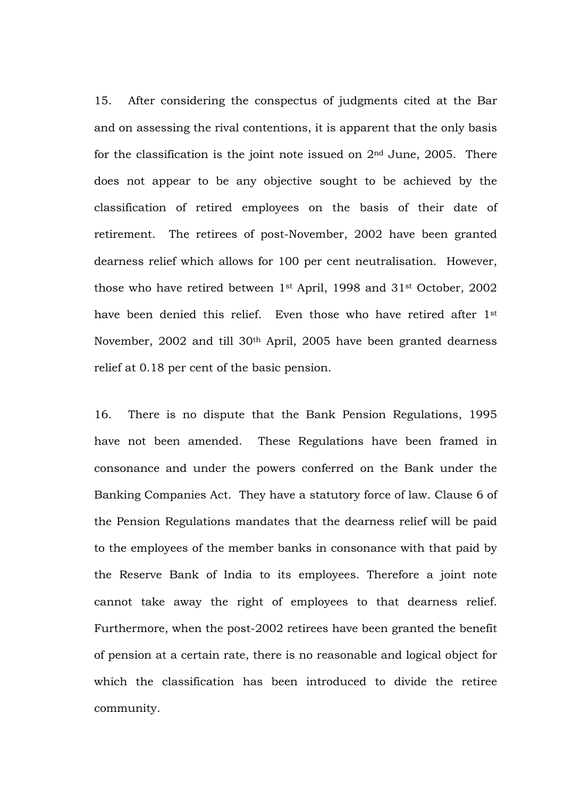15. After considering the conspectus of judgments cited at the Bar and on assessing the rival contentions, it is apparent that the only basis for the classification is the joint note issued on  $2<sup>nd</sup>$  June, 2005. There does not appear to be any objective sought to be achieved by the classification of retired employees on the basis of their date of retirement. The retirees of post-November, 2002 have been granted dearness relief which allows for 100 per cent neutralisation. However, those who have retired between 1st April, 1998 and 31st October, 2002 have been denied this relief. Even those who have retired after 1st November, 2002 and till 30th April, 2005 have been granted dearness relief at 0.18 per cent of the basic pension.

16. There is no dispute that the Bank Pension Regulations, 1995 have not been amended. These Regulations have been framed in consonance and under the powers conferred on the Bank under the Banking Companies Act. They have a statutory force of law. Clause 6 of the Pension Regulations mandates that the dearness relief will be paid to the employees of the member banks in consonance with that paid by the Reserve Bank of India to its employees. Therefore a joint note cannot take away the right of employees to that dearness relief. Furthermore, when the post-2002 retirees have been granted the benefit of pension at a certain rate, there is no reasonable and logical object for which the classification has been introduced to divide the retiree community.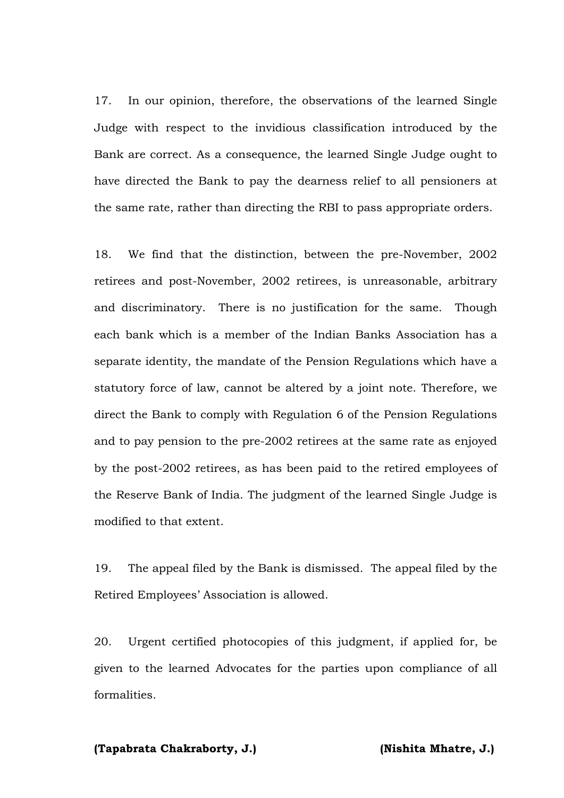17. In our opinion, therefore, the observations of the learned Single Judge with respect to the invidious classification introduced by the Bank are correct. As a consequence, the learned Single Judge ought to have directed the Bank to pay the dearness relief to all pensioners at the same rate, rather than directing the RBI to pass appropriate orders.

18. We find that the distinction, between the pre-November, 2002 retirees and post-November, 2002 retirees, is unreasonable, arbitrary and discriminatory. There is no justification for the same. Though each bank which is a member of the Indian Banks Association has a separate identity, the mandate of the Pension Regulations which have a statutory force of law, cannot be altered by a joint note. Therefore, we direct the Bank to comply with Regulation 6 of the Pension Regulations and to pay pension to the pre-2002 retirees at the same rate as enjoyed by the post-2002 retirees, as has been paid to the retired employees of the Reserve Bank of India. The judgment of the learned Single Judge is modified to that extent.

19. The appeal filed by the Bank is dismissed. The appeal filed by the Retired Employees' Association is allowed.

20. Urgent certified photocopies of this judgment, if applied for, be given to the learned Advocates for the parties upon compliance of all formalities.

#### **(Tapabrata Chakraborty, J.) (Nishita Mhatre, J.)**